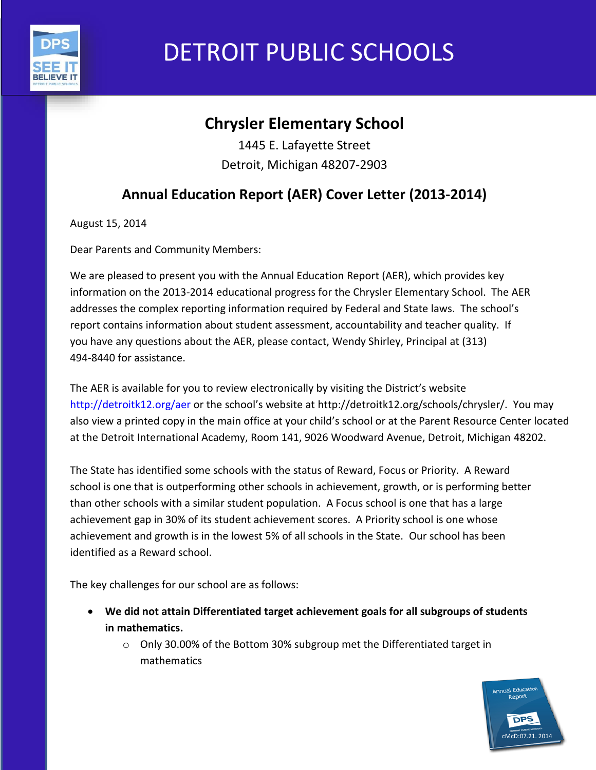

# DETROIT PUBLIC SCHOOLS

# **Chrysler Elementary School**

1445 E. Lafayette Street Detroit, Michigan 48207-2903

## **Annual Education Report (AER) Cover Letter (2013-2014)**

August 15, 2014

Dear Parents and Community Members:

We are pleased to present you with the Annual Education Report (AER), which provides key information on the 2013-2014 educational progress for the Chrysler Elementary School. The AER addresses the complex reporting information required by Federal and State laws. The school's report contains information about student assessment, accountability and teacher quality. If you have any questions about the AER, please contact, Wendy Shirley, Principal at (313) 494-8440 for assistance.

The AER is available for you to review electronically by visiting the District's website http://detroitk12.org/aer or the school's website at http://detroitk12.org/schools/chrysler/. You may also view a printed copy in the main office at your child's school or at the Parent Resource Center located at the Detroit International Academy, Room 141, 9026 Woodward Avenue, Detroit, Michigan 48202.

The State has identified some schools with the status of Reward, Focus or Priority. A Reward school is one that is outperforming other schools in achievement, growth, or is performing better than other schools with a similar student population. A Focus school is one that has a large achievement gap in 30% of its student achievement scores. A Priority school is one whose achievement and growth is in the lowest 5% of all schools in the State. Our school has been identified as a Reward school.

The key challenges for our school are as follows:

- **We did not attain Differentiated target achievement goals for all subgroups of students in mathematics.**
	- o Only 30.00% of the Bottom 30% subgroup met the Differentiated target in mathematics

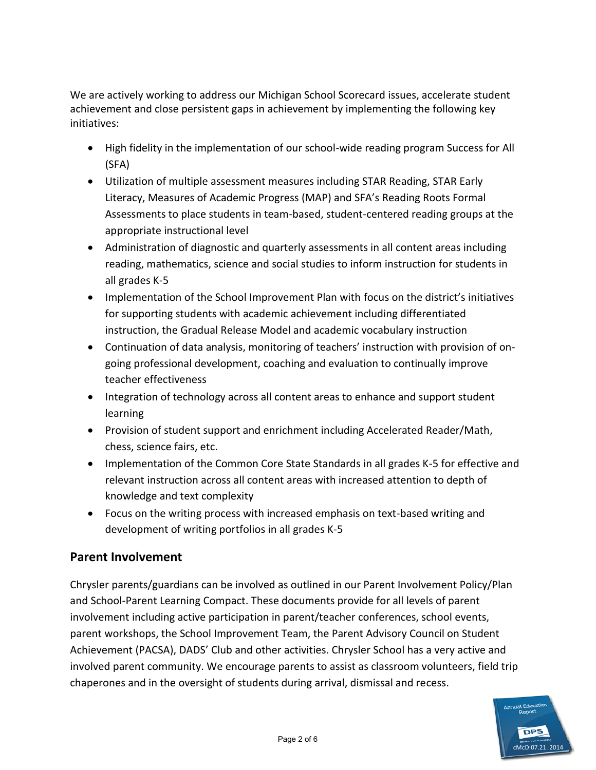We are actively working to address our Michigan School Scorecard issues, accelerate student achievement and close persistent gaps in achievement by implementing the following key initiatives:

- High fidelity in the implementation of our school-wide reading program Success for All (SFA)
- Utilization of multiple assessment measures including STAR Reading, STAR Early Literacy, Measures of Academic Progress (MAP) and SFA's Reading Roots Formal Assessments to place students in team-based, student-centered reading groups at the appropriate instructional level
- Administration of diagnostic and quarterly assessments in all content areas including reading, mathematics, science and social studies to inform instruction for students in all grades K-5
- Implementation of the School Improvement Plan with focus on the district's initiatives for supporting students with academic achievement including differentiated instruction, the Gradual Release Model and academic vocabulary instruction
- Continuation of data analysis, monitoring of teachers' instruction with provision of ongoing professional development, coaching and evaluation to continually improve teacher effectiveness
- Integration of technology across all content areas to enhance and support student learning
- Provision of student support and enrichment including Accelerated Reader/Math, chess, science fairs, etc.
- Implementation of the Common Core State Standards in all grades K-5 for effective and relevant instruction across all content areas with increased attention to depth of knowledge and text complexity
- Focus on the writing process with increased emphasis on text-based writing and development of writing portfolios in all grades K-5

## **Parent Involvement**

Chrysler parents/guardians can be involved as outlined in our Parent Involvement Policy/Plan and School-Parent Learning Compact. These documents provide for all levels of parent involvement including active participation in parent/teacher conferences, school events, parent workshops, the School Improvement Team, the Parent Advisory Council on Student Achievement (PACSA), DADS' Club and other activities. Chrysler School has a very active and involved parent community. We encourage parents to assist as classroom volunteers, field trip chaperones and in the oversight of students during arrival, dismissal and recess.

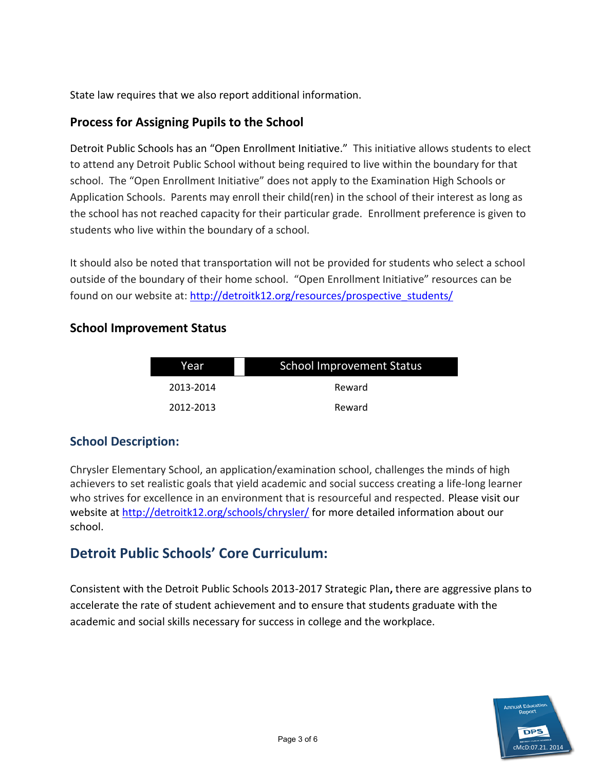State law requires that we also report additional information.

## **Process for Assigning Pupils to the School**

Detroit Public Schools has an "Open Enrollment Initiative." This initiative allows students to elect to attend any Detroit Public School without being required to live within the boundary for that school. The "Open Enrollment Initiative" does not apply to the Examination High Schools or Application Schools. Parents may enroll their child(ren) in the school of their interest as long as the school has not reached capacity for their particular grade. Enrollment preference is given to students who live within the boundary of a school.

It should also be noted that transportation will not be provided for students who select a school outside of the boundary of their home school. "Open Enrollment Initiative" resources can be found on our website at: [http://detroitk12.org/resources/prospective\\_students/](http://detroitk12.org/resources/prospective_students/)

## **School Improvement Status**

| Year      | <b>School Improvement Status</b> |
|-----------|----------------------------------|
| 2013-2014 | Reward                           |
| 2012-2013 | Reward                           |

## **School Description:**

Chrysler Elementary School, an application/examination school, challenges the minds of high achievers to set realistic goals that yield academic and social success creating a life-long learner who strives for excellence in an environment that is resourceful and respected. Please visit our website at<http://detroitk12.org/schools/chrysler/>for more detailed information about our school.

## **Detroit Public Schools' Core Curriculum:**

Consistent with the Detroit Public Schools 2013-2017 Strategic Plan**,** there are aggressive plans to accelerate the rate of student achievement and to ensure that students graduate with the academic and social skills necessary for success in college and the workplace.

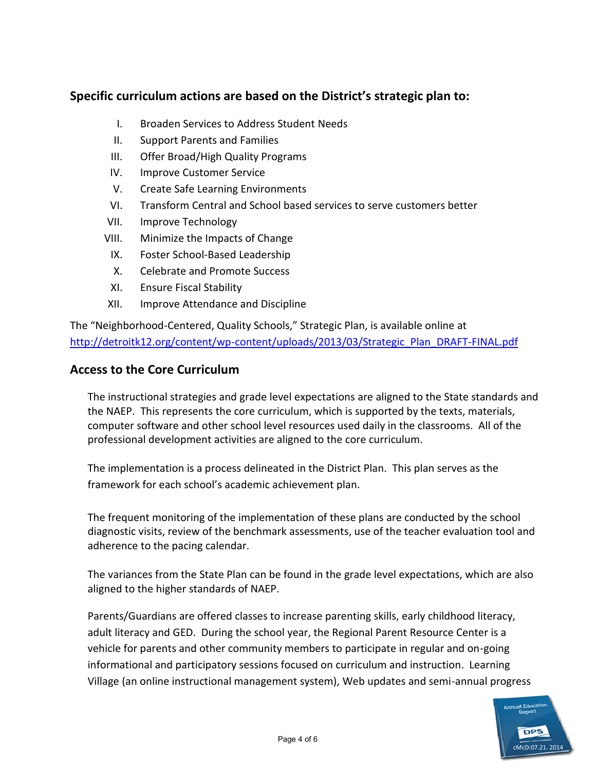## **Specific curriculum actions are based on the District's strategic plan to:**

- I. Broaden Services to Address Student Needs
- II. Support Parents and Families
- III. Offer Broad/High Quality Programs
- IV. Improve Customer Service
- V. Create Safe Learning Environments
- VI. Transform Central and School based services to serve customers better
- VII. Improve Technology
- VIII. Minimize the Impacts of Change
- IX. Foster School-Based Leadership
- X. Celebrate and Promote Success
- XI. Ensure Fiscal Stability
- XII. Improve Attendance and Discipline

The "Neighborhood-Centered, Quality Schools," Strategic Plan, is available online at [http://detroitk12.org/content/wp-content/uploads/2013/03/Strategic\\_Plan\\_DRAFT-FINAL.pdf](http://detroitk12.org/content/wp-content/uploads/2013/03/Strategic_Plan_DRAFT-FINAL.pdf)

## **Access to the Core Curriculum**

The instructional strategies and grade level expectations are aligned to the State standards and the NAEP. This represents the core curriculum, which is supported by the texts, materials, computer software and other school level resources used daily in the classrooms. All of the professional development activities are aligned to the core curriculum.

The implementation is a process delineated in the District Plan. This plan serves as the framework for each school's academic achievement plan.

The frequent monitoring of the implementation of these plans are conducted by the school diagnostic visits, review of the benchmark assessments, use of the teacher evaluation tool and adherence to the pacing calendar.

The variances from the State Plan can be found in the grade level expectations, which are also aligned to the higher standards of NAEP.

Parents/Guardians are offered classes to increase parenting skills, early childhood literacy, adult literacy and GED. During the school year, the Regional Parent Resource Center is a vehicle for parents and other community members to participate in regular and on-going informational and participatory sessions focused on curriculum and instruction. Learning Village (an online instructional management system), Web updates and semi-annual progress

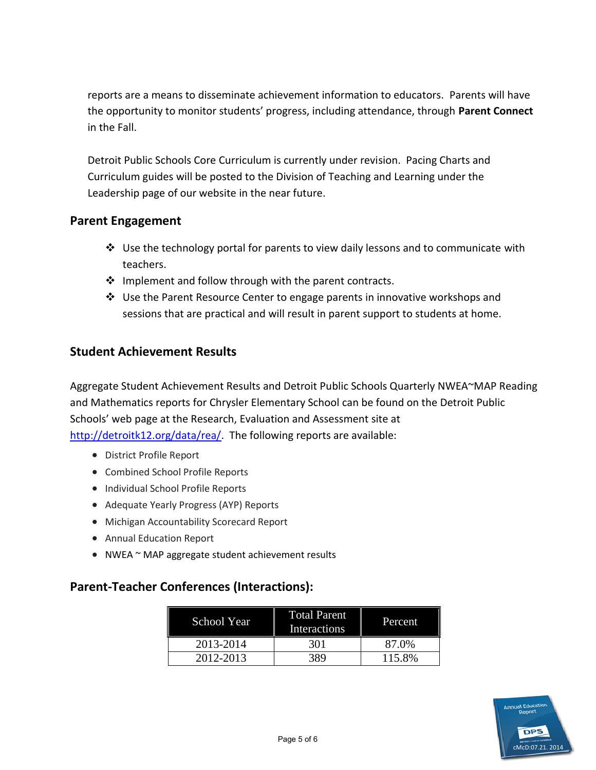reports are a means to disseminate achievement information to educators. Parents will have the opportunity to monitor students' progress, including attendance, through **Parent Connect**  in the Fall.

Detroit Public Schools Core Curriculum is currently under revision. Pacing Charts and Curriculum guides will be posted to the Division of Teaching and Learning under the Leadership page of our website in the near future.

#### **Parent Engagement**

- $\div$  Use the technology portal for parents to view daily lessons and to communicate with teachers.
- $\cdot \cdot$  Implement and follow through with the parent contracts.
- Use the Parent Resource Center to engage parents in innovative workshops and sessions that are practical and will result in parent support to students at home.

## **Student Achievement Results**

Aggregate Student Achievement Results and Detroit Public Schools Quarterly NWEA~MAP Reading and Mathematics reports for Chrysler Elementary School can be found on the Detroit Public Schools' web page at the Research, Evaluation and Assessment site at [http://detroitk12.org/data/rea/.](http://detroitk12.org/data/rea/) The following reports are available:

- District Profile Report
- Combined School Profile Reports
- Individual School Profile Reports
- Adequate Yearly Progress (AYP) Reports
- Michigan Accountability Scorecard Report
- Annual Education Report
- NWEA ~ MAP aggregate student achievement results

## **Parent-Teacher Conferences (Interactions):**

| School Year | <b>Total Parent</b><br>Interactions | Percent |
|-------------|-------------------------------------|---------|
| 2013-2014   | 301                                 | 87.0%   |
| 2012-2013   | 389                                 | 115.8%  |